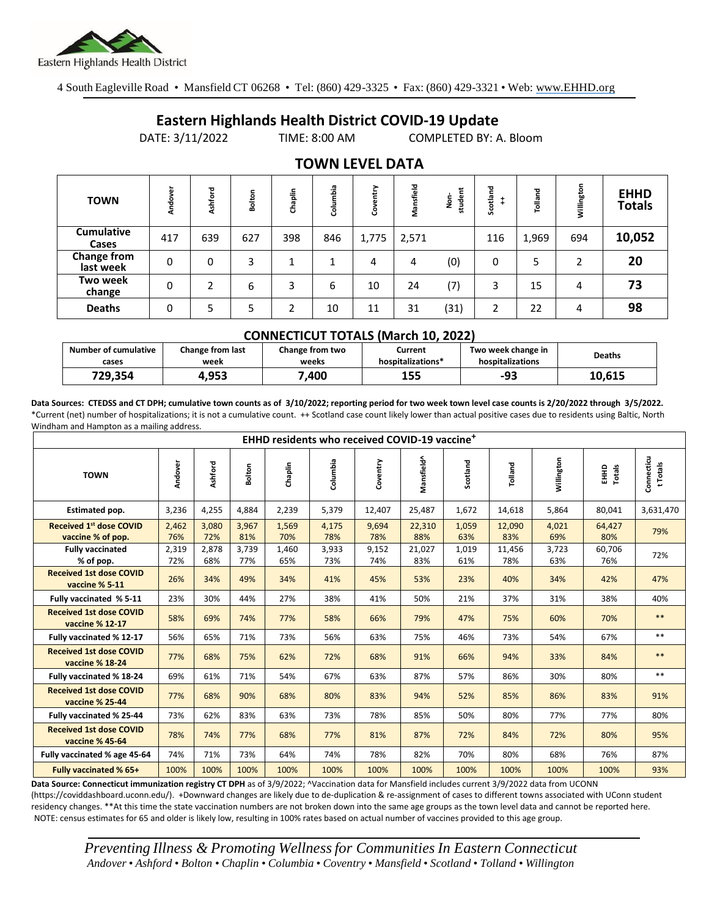

4 South Eagleville Road • Mansfield CT 06268 • Tel: (860) 429-3325 • Fax: (860) 429-3321 • Web: www.EHHD.org

## **Eastern Highlands Health District COVID-19 Update**

DATE: 3/11/2022 TIME: 8:00 AM COMPLETED BY: A. Bloom

| <b>TOWN</b>                     | Andover | Ashford | Bolton | Chaplin | Columbia | ➤<br>뷷<br>$\mathbf{a}$<br>క్రి | Mansfield | student<br>å | Scotland | Tolland | Willington     | <b>EHHD</b><br><b>Totals</b> |
|---------------------------------|---------|---------|--------|---------|----------|--------------------------------|-----------|--------------|----------|---------|----------------|------------------------------|
| <b>Cumulative</b><br>Cases      | 417     | 639     | 627    | 398     | 846      | 1,775                          | 2,571     |              | 116      | 1,969   | 694            | 10,052                       |
| <b>Change from</b><br>last week | 0       | 0       | 3      |         |          | 4                              | 4         | (0)          | 0        | 5       | $\overline{2}$ | 20                           |
| Two week<br>change              | 0       | C       | 6      | 3       | 6        | 10                             | 24        | (7)          | 3        | 15      | 4              | 73                           |
| <b>Deaths</b>                   | 0       | 5       | 5      | ำ       | 10       | 11                             | 31        | (31)         | 2        | 22      | 4              | 98                           |

## **TOWN LEVEL DATA**

| <b>CONNECTICUT TOTALS (March 10, 2022)</b> |                                 |                          |                              |                                        |               |  |  |  |  |  |
|--------------------------------------------|---------------------------------|--------------------------|------------------------------|----------------------------------------|---------------|--|--|--|--|--|
| <b>Number of cumulative</b><br>cases       | <b>Change from last</b><br>week | Change from two<br>weeks | Current<br>hospitalizations* | Two week change in<br>hospitalizations | <b>Deaths</b> |  |  |  |  |  |
| 729.354                                    | 4.953                           | 7.400                    | 155                          | -93                                    | 10,615        |  |  |  |  |  |

**Data Sources: CTEDSS and CT DPH; cumulative town counts as of 3/10/2022; reporting period for two week town level case counts is 2/20/2022 through 3/5/2022.** \*Current (net) number of hospitalizations; it is not a cumulative count. ++ Scotland case count likely lower than actual positive cases due to residents using Baltic, North Windham and Hampton as a mailing address.

| EHHD residents who received COVID-19 vaccine <sup>+</sup> |              |              |              |              |              |              |               |              |               |              |                  |                        |
|-----------------------------------------------------------|--------------|--------------|--------------|--------------|--------------|--------------|---------------|--------------|---------------|--------------|------------------|------------------------|
| <b>TOWN</b>                                               | Andover      | Ashford      | Bolton       | Chaplin      | Columbia     | Coventry     | Mansfield^    | Scotland     | Tolland       | Willington   | Totals<br>읖<br>표 | Connecticu<br>t Totals |
| <b>Estimated pop.</b>                                     | 3,236        | 4,255        | 4,884        | 2,239        | 5,379        | 12,407       | 25,487        | 1,672        | 14,618        | 5,864        | 80,041           | 3,631,470              |
| <b>Received 1st dose COVID</b><br>vaccine % of pop.       | 2,462<br>76% | 3,080<br>72% | 3,967<br>81% | 1,569<br>70% | 4,175<br>78% | 9,694<br>78% | 22,310<br>88% | 1,059<br>63% | 12,090<br>83% | 4,021<br>69% | 64,427<br>80%    | 79%                    |
| <b>Fully vaccinated</b><br>% of pop.                      | 2,319<br>72% | 2,878<br>68% | 3,739<br>77% | 1,460<br>65% | 3,933<br>73% | 9,152<br>74% | 21,027<br>83% | 1,019<br>61% | 11,456<br>78% | 3,723<br>63% | 60,706<br>76%    | 72%                    |
| <b>Received 1st dose COVID</b><br>vaccine % 5-11          | 26%          | 34%          | 49%          | 34%          | 41%          | 45%          | 53%           | 23%          | 40%           | 34%          | 42%              | 47%                    |
| Fully vaccinated % 5-11                                   | 23%          | 30%          | 44%          | 27%          | 38%          | 41%          | 50%           | 21%          | 37%           | 31%          | 38%              | 40%                    |
| <b>Received 1st dose COVID</b><br>vaccine % 12-17         | 58%          | 69%          | 74%          | 77%          | 58%          | 66%          | 79%           | 47%          | 75%           | 60%          | 70%              | $**$                   |
| Fully vaccinated % 12-17                                  | 56%          | 65%          | 71%          | 73%          | 56%          | 63%          | 75%           | 46%          | 73%           | 54%          | 67%              | $**$                   |
| <b>Received 1st dose COVID</b><br>vaccine % 18-24         | 77%          | 68%          | 75%          | 62%          | 72%          | 68%          | 91%           | 66%          | 94%           | 33%          | 84%              | $**$                   |
| Fully vaccinated % 18-24                                  | 69%          | 61%          | 71%          | 54%          | 67%          | 63%          | 87%           | 57%          | 86%           | 30%          | 80%              | $***$                  |
| <b>Received 1st dose COVID</b><br>vaccine % 25-44         | 77%          | 68%          | 90%          | 68%          | 80%          | 83%          | 94%           | 52%          | 85%           | 86%          | 83%              | 91%                    |
| Fully vaccinated % 25-44                                  | 73%          | 62%          | 83%          | 63%          | 73%          | 78%          | 85%           | 50%          | 80%           | 77%          | 77%              | 80%                    |
| <b>Received 1st dose COVID</b><br>vaccine % 45-64         | 78%          | 74%          | 77%          | 68%          | 77%          | 81%          | 87%           | 72%          | 84%           | 72%          | 80%              | 95%                    |
| Fully vaccinated % age 45-64                              | 74%          | 71%          | 73%          | 64%          | 74%          | 78%          | 82%           | 70%          | 80%           | 68%          | 76%              | 87%                    |
| <b>Fully vaccinated % 65+</b>                             | 100%         | 100%         | 100%         | 100%         | 100%         | 100%         | 100%          | 100%         | 100%          | 100%         | 100%             | 93%                    |

Data Source: Connecticut immunization registry CT DPH as of 3/9/2022; ^Vaccination data for Mansfield includes current 3/9/2022 data from UCONN (https://coviddashboard.uconn.edu/). +Downward changes are likely due to de-duplication & re-assignment of cases to different towns associated with UConn student residency changes. \*\*At this time the state vaccination numbers are not broken down into the same age groups as the town level data and cannot be reported here. NOTE: census estimates for 65 and older is likely low, resulting in 100% rates based on actual number of vaccines provided to this age group.

*Preventing Illness & Promoting Wellnessfor Communities In Eastern Connecticut* Andover • Ashford • Bolton • Chaplin • Columbia • Coventry • Mansfield • Scotland • Tolland • Willington